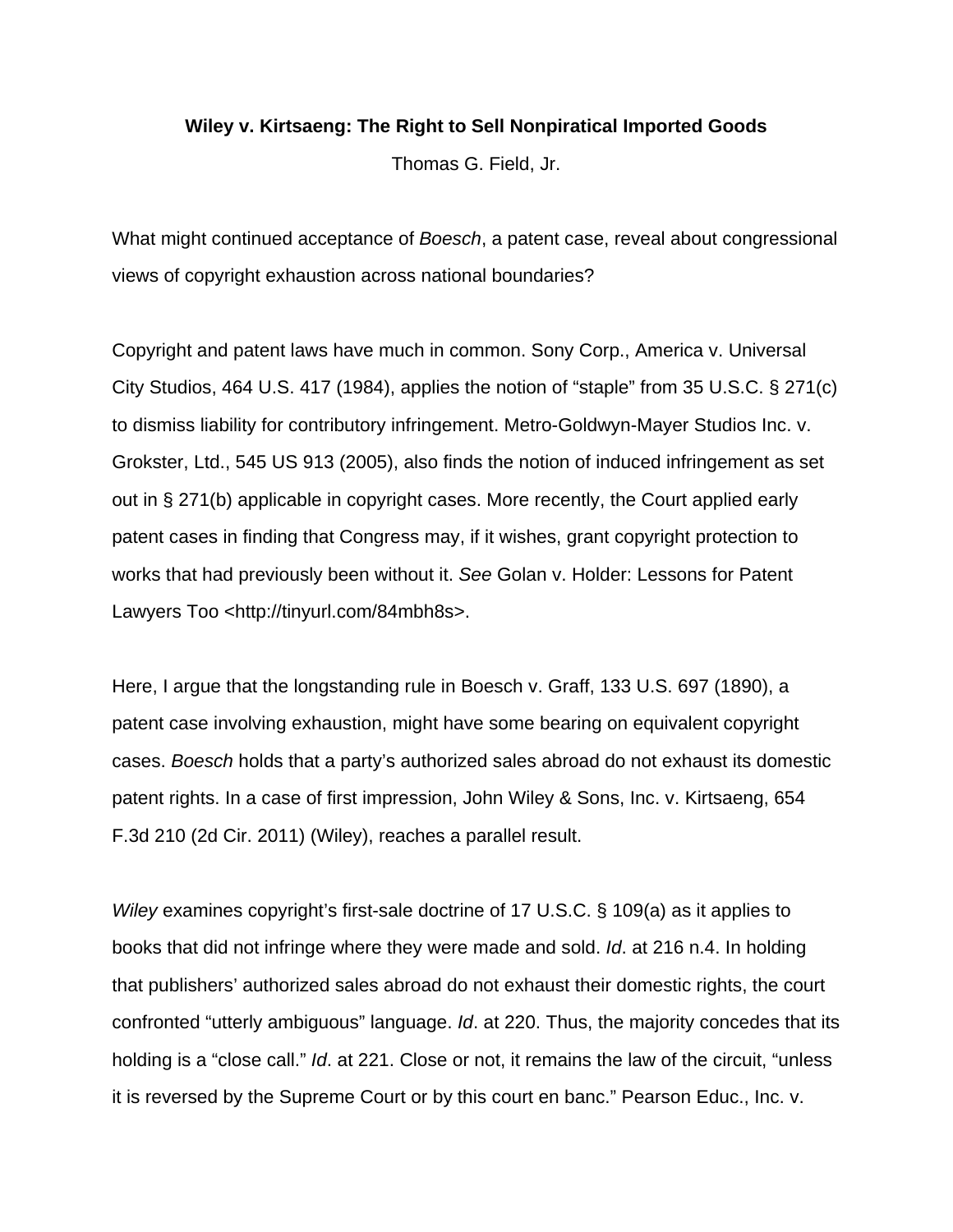## **Wiley v. Kirtsaeng: The Right to Sell Nonpiratical Imported Goods**

Thomas G. Field, Jr.

What might continued acceptance of *Boesch*, a patent case, reveal about congressional views of copyright exhaustion across national boundaries?

Copyright and patent laws have much in common. Sony Corp., America v. Universal City Studios, 464 U.S. 417 (1984), applies the notion of "staple" from 35 U.S.C. § 271(c) to dismiss liability for contributory infringement. Metro-Goldwyn-Mayer Studios Inc. v. Grokster, Ltd., 545 US 913 (2005), also finds the notion of induced infringement as set out in § 271(b) applicable in copyright cases. More recently, the Court applied early patent cases in finding that Congress may, if it wishes, grant copyright protection to works that had previously been without it. *See* Golan v. Holder: Lessons for Patent Lawyers Too <http://tinyurl.com/84mbh8s>.

Here, I argue that the longstanding rule in Boesch v. Graff, 133 U.S. 697 (1890), a patent case involving exhaustion, might have some bearing on equivalent copyright cases. *Boesch* holds that a party's authorized sales abroad do not exhaust its domestic patent rights. In a case of first impression, John Wiley & Sons, Inc. v. Kirtsaeng, 654 F.3d 210 (2d Cir. 2011) (Wiley), reaches a parallel result.

*Wiley* examines copyright's first-sale doctrine of 17 U.S.C. § 109(a) as it applies to books that did not infringe where they were made and sold. *Id*. at 216 n.4. In holding that publishers' authorized sales abroad do not exhaust their domestic rights, the court confronted "utterly ambiguous" language. *Id*. at 220. Thus, the majority concedes that its holding is a "close call." *Id*. at 221. Close or not, it remains the law of the circuit, "unless it is reversed by the Supreme Court or by this court en banc." Pearson Educ., Inc. v.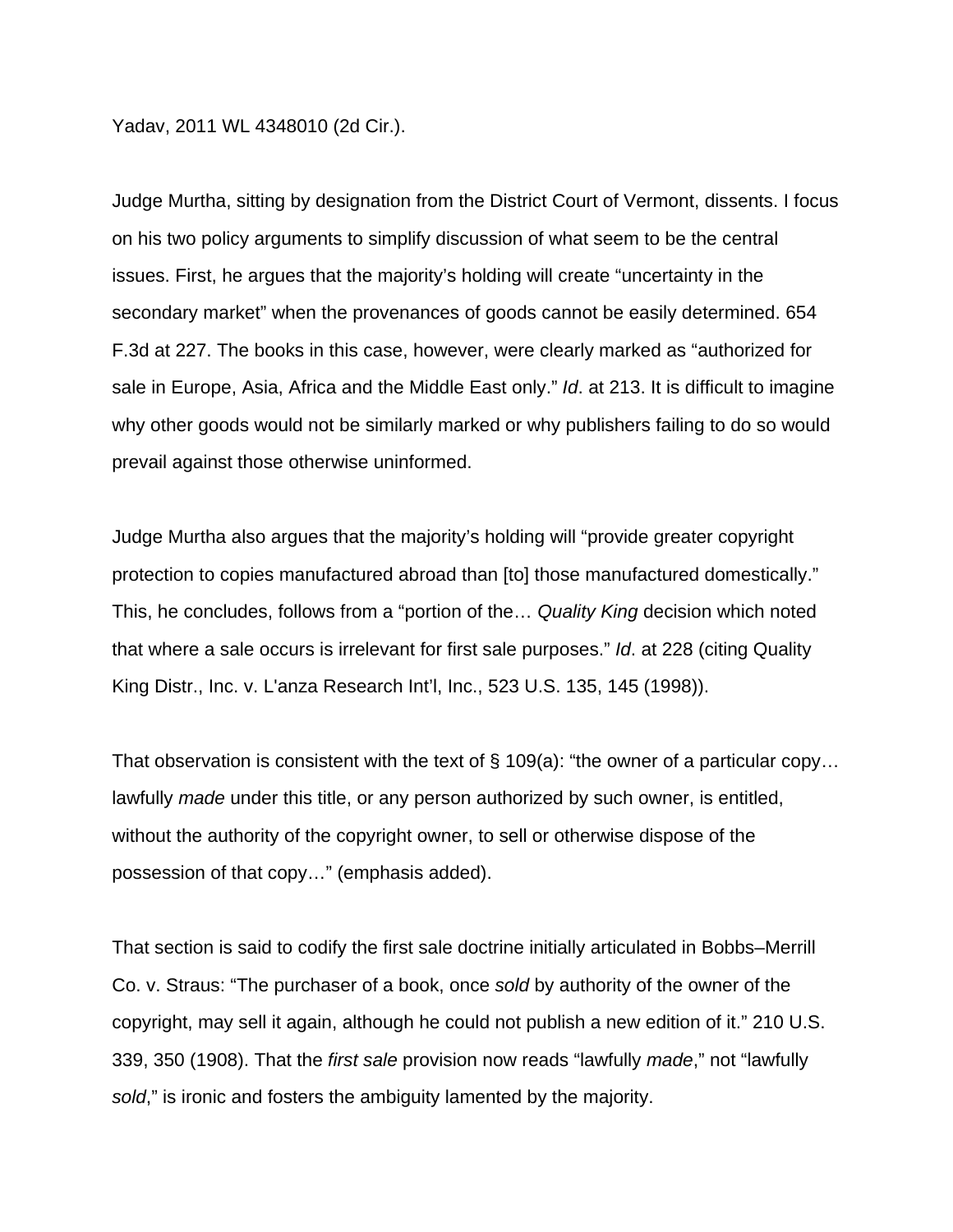Yadav, 2011 WL 4348010 (2d Cir.).

Judge Murtha, sitting by designation from the District Court of Vermont, dissents. I focus on his two policy arguments to simplify discussion of what seem to be the central issues. First, he argues that the majority's holding will create "uncertainty in the secondary market" when the provenances of goods cannot be easily determined. 654 F.3d at 227. The books in this case, however, were clearly marked as "authorized for sale in Europe, Asia, Africa and the Middle East only." *Id*. at 213. It is difficult to imagine why other goods would not be similarly marked or why publishers failing to do so would prevail against those otherwise uninformed.

Judge Murtha also argues that the majority's holding will "provide greater copyright protection to copies manufactured abroad than [to] those manufactured domestically." This, he concludes, follows from a "portion of the… *Quality King* decision which noted that where a sale occurs is irrelevant for first sale purposes." *Id*. at 228 (citing Quality King Distr., Inc. v. L'anza Research Int'l, Inc., 523 U.S. 135, 145 (1998)).

That observation is consistent with the text of  $\S$  109(a): "the owner of a particular copy... lawfully *made* under this title, or any person authorized by such owner, is entitled, without the authority of the copyright owner, to sell or otherwise dispose of the possession of that copy…" (emphasis added).

That section is said to codify the first sale doctrine initially articulated in Bobbs–Merrill Co. v. Straus: "The purchaser of a book, once *sold* by authority of the owner of the copyright, may sell it again, although he could not publish a new edition of it." 210 U.S. 339, 350 (1908). That the *first sale* provision now reads "lawfully *made*," not "lawfully *sold*," is ironic and fosters the ambiguity lamented by the majority.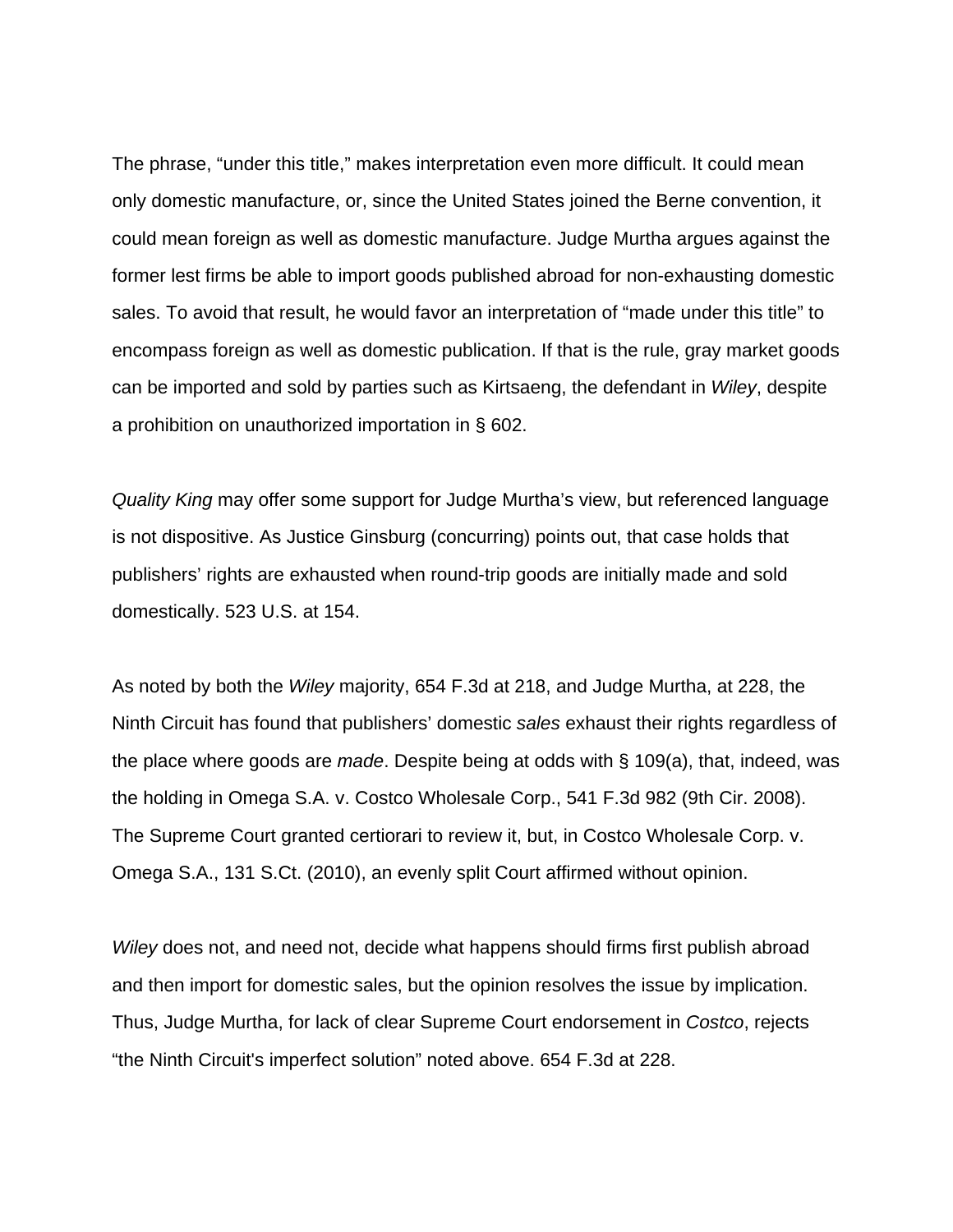The phrase, "under this title," makes interpretation even more difficult. It could mean only domestic manufacture, or, since the United States joined the Berne convention, it could mean foreign as well as domestic manufacture. Judge Murtha argues against the former lest firms be able to import goods published abroad for non-exhausting domestic sales. To avoid that result, he would favor an interpretation of "made under this title" to encompass foreign as well as domestic publication. If that is the rule, gray market goods can be imported and sold by parties such as Kirtsaeng, the defendant in *Wiley*, despite a prohibition on unauthorized importation in § 602.

*Quality King* may offer some support for Judge Murtha's view, but referenced language is not dispositive. As Justice Ginsburg (concurring) points out, that case holds that publishers' rights are exhausted when round-trip goods are initially made and sold domestically. 523 U.S. at 154.

As noted by both the *Wiley* majority, 654 F.3d at 218, and Judge Murtha, at 228, the Ninth Circuit has found that publishers' domestic *sales* exhaust their rights regardless of the place where goods are *made*. Despite being at odds with § 109(a), that, indeed, was the holding in Omega S.A. v. Costco Wholesale Corp., 541 F.3d 982 (9th Cir. 2008). The Supreme Court granted certiorari to review it, but, in Costco Wholesale Corp. v. Omega S.A., 131 S.Ct. (2010), an evenly split Court affirmed without opinion.

*Wiley* does not, and need not, decide what happens should firms first publish abroad and then import for domestic sales, but the opinion resolves the issue by implication. Thus, Judge Murtha, for lack of clear Supreme Court endorsement in *Costco*, rejects "the Ninth Circuit's imperfect solution" noted above. 654 F.3d at 228.